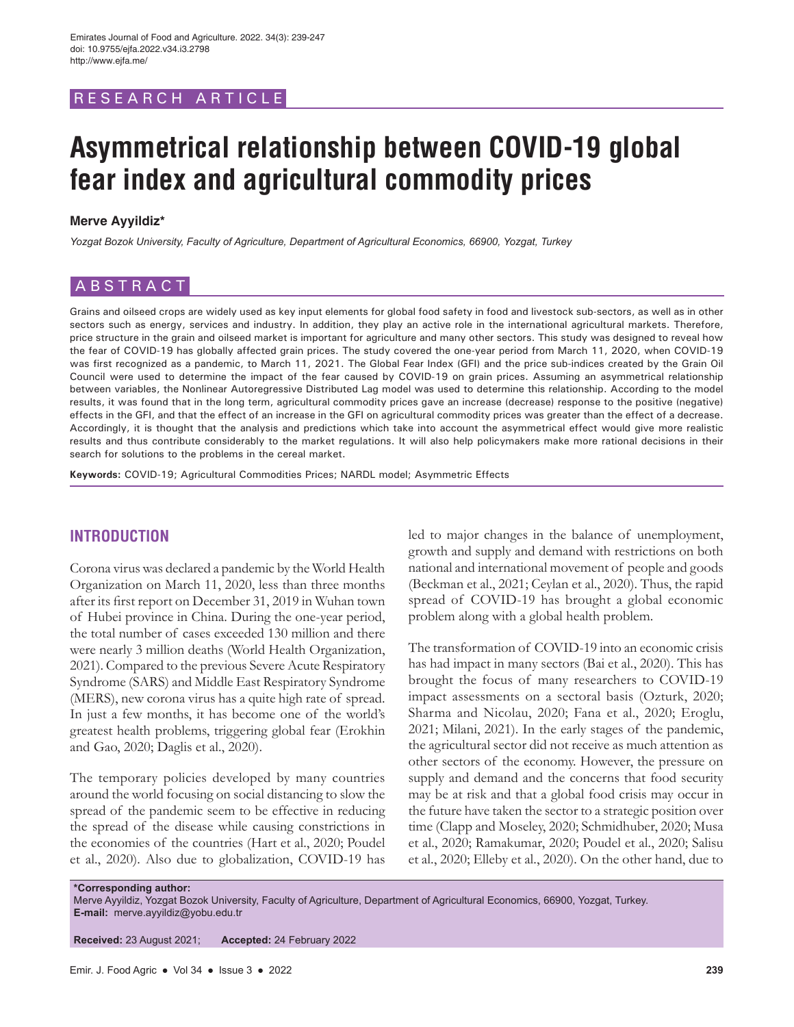# RESEARCH ARTICLE

# **Asymmetrical relationship between COVID-19 global fear index and agricultural commodity prices**

### **Merve Ayyildiz\***

*Yozgat Bozok University, Faculty of Agriculture, Department of Agricultural Economics, 66900, Yozgat, Turkey*

# ABSTRACT

Grains and oilseed crops are widely used as key input elements for global food safety in food and livestock sub-sectors, as well as in other sectors such as energy, services and industry. In addition, they play an active role in the international agricultural markets. Therefore, price structure in the grain and oilseed market is important for agriculture and many other sectors. This study was designed to reveal how the fear of COVID-19 has globally affected grain prices. The study covered the one-year period from March 11, 2020, when COVID-19 was first recognized as a pandemic, to March 11, 2021. The Global Fear Index (GFI) and the price sub-indices created by the Grain Oil Council were used to determine the impact of the fear caused by COVID-19 on grain prices. Assuming an asymmetrical relationship between variables, the Nonlinear Autoregressive Distributed Lag model was used to determine this relationship. According to the model results, it was found that in the long term, agricultural commodity prices gave an increase (decrease) response to the positive (negative) effects in the GFI, and that the effect of an increase in the GFI on agricultural commodity prices was greater than the effect of a decrease. Accordingly, it is thought that the analysis and predictions which take into account the asymmetrical effect would give more realistic results and thus contribute considerably to the market regulations. It will also help policymakers make more rational decisions in their search for solutions to the problems in the cereal market.

**Keywords:** COVID-19; Agricultural Commodities Prices; NARDL model; Asymmetric Effects

# **INTRODUCTION**

Corona virus was declared a pandemic by the World Health Organization on March 11, 2020, less than three months after its first report on December 31, 2019 in Wuhan town of Hubei province in China. During the one-year period, the total number of cases exceeded 130 million and there were nearly 3 million deaths (World Health Organization, 2021). Compared to the previous Severe Acute Respiratory Syndrome (SARS) and Middle East Respiratory Syndrome (MERS), new corona virus has a quite high rate of spread. In just a few months, it has become one of the world's greatest health problems, triggering global fear (Erokhin and Gao, 2020; Daglis et al., 2020).

The temporary policies developed by many countries around the world focusing on social distancing to slow the spread of the pandemic seem to be effective in reducing the spread of the disease while causing constrictions in the economies of the countries (Hart et al., 2020; Poudel et al., 2020). Also due to globalization, COVID-19 has led to major changes in the balance of unemployment, growth and supply and demand with restrictions on both national and international movement of people and goods (Beckman et al., 2021; Ceylan et al., 2020). Thus, the rapid spread of COVID-19 has brought a global economic problem along with a global health problem.

The transformation of COVID-19 into an economic crisis has had impact in many sectors (Bai et al., 2020). This has brought the focus of many researchers to COVID-19 impact assessments on a sectoral basis (Ozturk, 2020; Sharma and Nicolau, 2020; Fana et al., 2020; Eroglu, 2021; Milani, 2021). In the early stages of the pandemic, the agricultural sector did not receive as much attention as other sectors of the economy. However, the pressure on supply and demand and the concerns that food security may be at risk and that a global food crisis may occur in the future have taken the sector to a strategic position over time (Clapp and Moseley, 2020; Schmidhuber, 2020; Musa et al., 2020; Ramakumar, 2020; Poudel et al., 2020; Salisu et al., 2020; Elleby et al., 2020). On the other hand, due to

**\*Corresponding author:** Merve Ayyildiz, Yozgat Bozok University, Faculty of Agriculture, Department of Agricultural Economics, 66900, Yozgat, Turkey. **E-mail:** merve.ayyildiz@yobu.edu.tr

**Received:** 23 August 2021; **Accepted:** 24 February 2022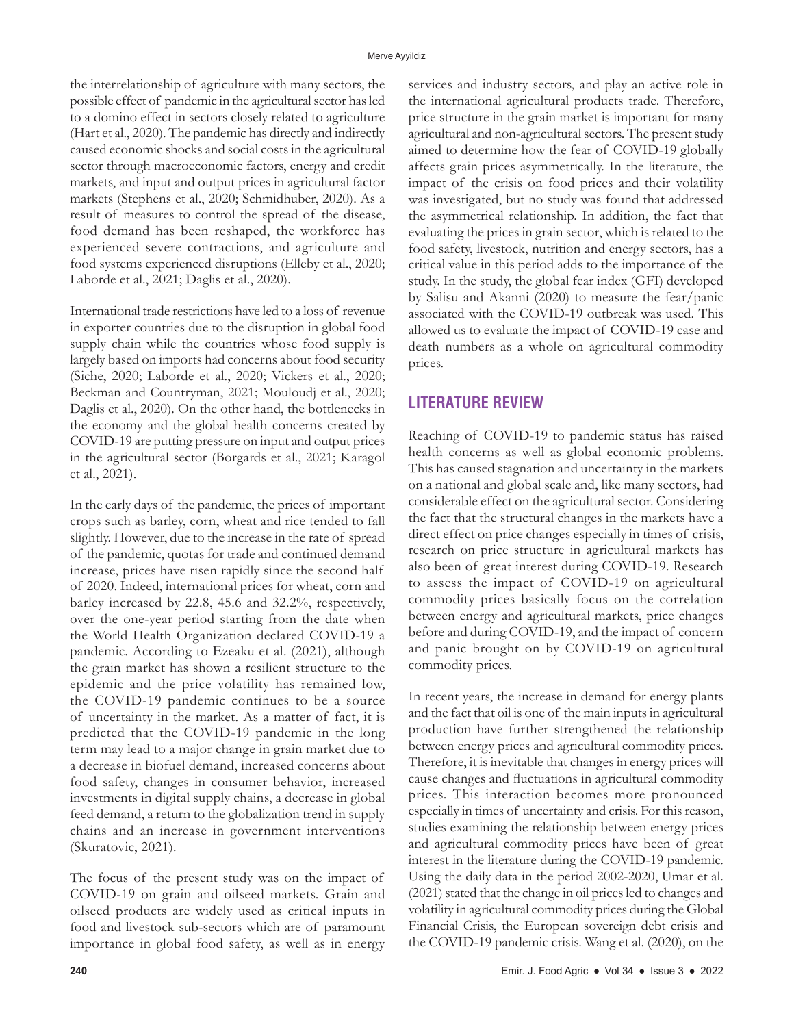the interrelationship of agriculture with many sectors, the possible effect of pandemic in the agricultural sector has led to a domino effect in sectors closely related to agriculture (Hart et al., 2020). The pandemic has directly and indirectly caused economic shocks and social costs in the agricultural sector through macroeconomic factors, energy and credit markets, and input and output prices in agricultural factor markets (Stephens et al., 2020; Schmidhuber, 2020). As a result of measures to control the spread of the disease, food demand has been reshaped, the workforce has experienced severe contractions, and agriculture and food systems experienced disruptions (Elleby et al., 2020; Laborde et al., 2021; Daglis et al., 2020).

International trade restrictions have led to a loss of revenue in exporter countries due to the disruption in global food supply chain while the countries whose food supply is largely based on imports had concerns about food security (Siche, 2020; Laborde et al., 2020; Vickers et al., 2020; Beckman and Countryman, 2021; Mouloudj et al., 2020; Daglis et al., 2020). On the other hand, the bottlenecks in the economy and the global health concerns created by COVID-19 are putting pressure on input and output prices in the agricultural sector (Borgards et al., 2021; Karagol et al., 2021).

In the early days of the pandemic, the prices of important crops such as barley, corn, wheat and rice tended to fall slightly. However, due to the increase in the rate of spread of the pandemic, quotas for trade and continued demand increase, prices have risen rapidly since the second half of 2020. Indeed, international prices for wheat, corn and barley increased by 22.8, 45.6 and 32.2%, respectively, over the one-year period starting from the date when the World Health Organization declared COVID-19 a pandemic. According to Ezeaku et al. (2021), although the grain market has shown a resilient structure to the epidemic and the price volatility has remained low, the COVID-19 pandemic continues to be a source of uncertainty in the market. As a matter of fact, it is predicted that the COVID-19 pandemic in the long term may lead to a major change in grain market due to a decrease in biofuel demand, increased concerns about food safety, changes in consumer behavior, increased investments in digital supply chains, a decrease in global feed demand, a return to the globalization trend in supply chains and an increase in government interventions (Skuratovic, 2021).

The focus of the present study was on the impact of COVID-19 on grain and oilseed markets. Grain and oilseed products are widely used as critical inputs in food and livestock sub-sectors which are of paramount importance in global food safety, as well as in energy services and industry sectors, and play an active role in the international agricultural products trade. Therefore, price structure in the grain market is important for many agricultural and non-agricultural sectors. The present study aimed to determine how the fear of COVID-19 globally affects grain prices asymmetrically. In the literature, the impact of the crisis on food prices and their volatility was investigated, but no study was found that addressed the asymmetrical relationship. In addition, the fact that evaluating the prices in grain sector, which is related to the food safety, livestock, nutrition and energy sectors, has a critical value in this period adds to the importance of the study. In the study, the global fear index (GFI) developed by Salisu and Akanni (2020) to measure the fear/panic associated with the COVID-19 outbreak was used. This allowed us to evaluate the impact of COVID-19 case and death numbers as a whole on agricultural commodity prices.

# **LITERATURE REVIEW**

Reaching of COVID-19 to pandemic status has raised health concerns as well as global economic problems. This has caused stagnation and uncertainty in the markets on a national and global scale and, like many sectors, had considerable effect on the agricultural sector. Considering the fact that the structural changes in the markets have a direct effect on price changes especially in times of crisis, research on price structure in agricultural markets has also been of great interest during COVID-19. Research to assess the impact of COVID-19 on agricultural commodity prices basically focus on the correlation between energy and agricultural markets, price changes before and during COVID-19, and the impact of concern and panic brought on by COVID-19 on agricultural commodity prices.

In recent years, the increase in demand for energy plants and the fact that oil is one of the main inputs in agricultural production have further strengthened the relationship between energy prices and agricultural commodity prices. Therefore, it is inevitable that changes in energy prices will cause changes and fluctuations in agricultural commodity prices. This interaction becomes more pronounced especially in times of uncertainty and crisis. For this reason, studies examining the relationship between energy prices and agricultural commodity prices have been of great interest in the literature during the COVID-19 pandemic. Using the daily data in the period 2002-2020, Umar et al. (2021) stated that the change in oil prices led to changes and volatility in agricultural commodity prices during the Global Financial Crisis, the European sovereign debt crisis and the COVID-19 pandemic crisis. Wang et al. (2020), on the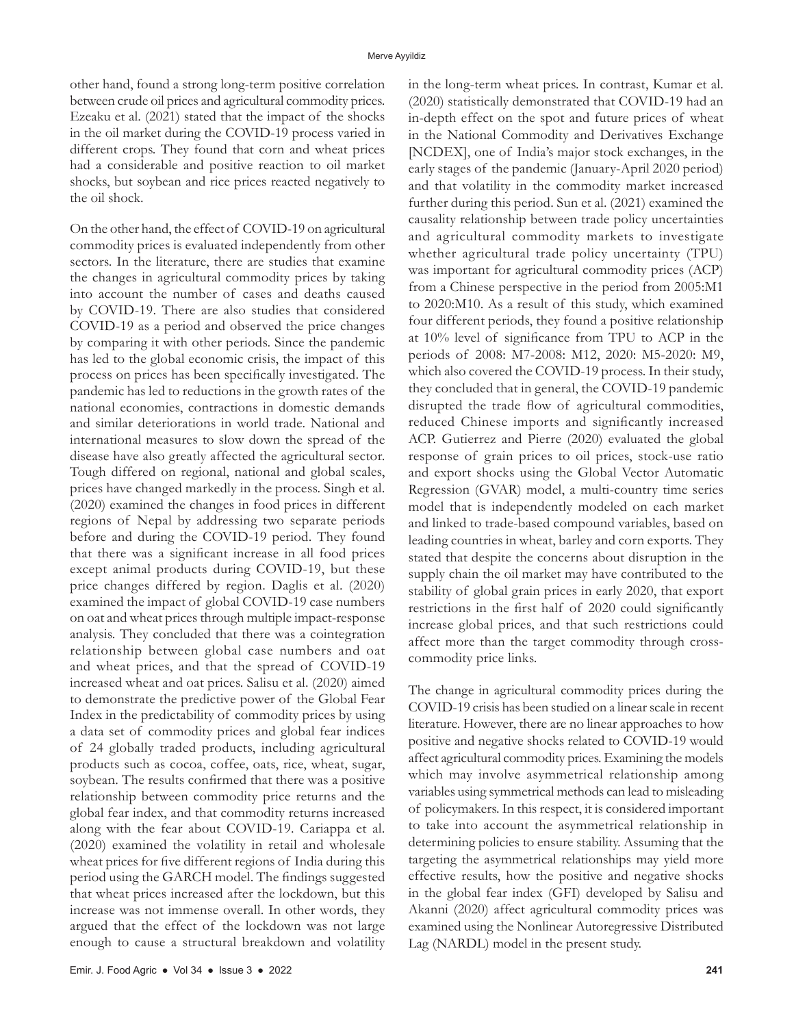other hand, found a strong long-term positive correlation between crude oil prices and agricultural commodity prices. Ezeaku et al. (2021) stated that the impact of the shocks in the oil market during the COVID-19 process varied in different crops. They found that corn and wheat prices had a considerable and positive reaction to oil market shocks, but soybean and rice prices reacted negatively to the oil shock.

On the other hand, the effect of COVID-19 on agricultural commodity prices is evaluated independently from other sectors. In the literature, there are studies that examine the changes in agricultural commodity prices by taking into account the number of cases and deaths caused by COVID-19. There are also studies that considered COVID-19 as a period and observed the price changes by comparing it with other periods. Since the pandemic has led to the global economic crisis, the impact of this process on prices has been specifically investigated. The pandemic has led to reductions in the growth rates of the national economies, contractions in domestic demands and similar deteriorations in world trade. National and international measures to slow down the spread of the disease have also greatly affected the agricultural sector. Tough differed on regional, national and global scales, prices have changed markedly in the process. Singh et al. (2020) examined the changes in food prices in different regions of Nepal by addressing two separate periods before and during the COVID-19 period. They found that there was a significant increase in all food prices except animal products during COVID-19, but these price changes differed by region. Daglis et al. (2020) examined the impact of global COVID-19 case numbers on oat and wheat prices through multiple impact-response analysis. They concluded that there was a cointegration relationship between global case numbers and oat and wheat prices, and that the spread of COVID-19 increased wheat and oat prices. Salisu et al. (2020) aimed to demonstrate the predictive power of the Global Fear Index in the predictability of commodity prices by using a data set of commodity prices and global fear indices of 24 globally traded products, including agricultural products such as cocoa, coffee, oats, rice, wheat, sugar, soybean. The results confirmed that there was a positive relationship between commodity price returns and the global fear index, and that commodity returns increased along with the fear about COVID-19. Cariappa et al. (2020) examined the volatility in retail and wholesale wheat prices for five different regions of India during this period using the GARCH model. The findings suggested that wheat prices increased after the lockdown, but this increase was not immense overall. In other words, they argued that the effect of the lockdown was not large enough to cause a structural breakdown and volatility

in the long-term wheat prices. In contrast, Kumar et al. (2020) statistically demonstrated that COVID-19 had an in-depth effect on the spot and future prices of wheat in the National Commodity and Derivatives Exchange [NCDEX], one of India's major stock exchanges, in the early stages of the pandemic (January-April 2020 period) and that volatility in the commodity market increased further during this period. Sun et al. (2021) examined the causality relationship between trade policy uncertainties and agricultural commodity markets to investigate whether agricultural trade policy uncertainty (TPU) was important for agricultural commodity prices (ACP) from a Chinese perspective in the period from 2005:M1 to 2020:M10. As a result of this study, which examined four different periods, they found a positive relationship at 10% level of significance from TPU to ACP in the periods of 2008: M7-2008: M12, 2020: M5-2020: M9, which also covered the COVID-19 process. In their study, they concluded that in general, the COVID-19 pandemic disrupted the trade flow of agricultural commodities, reduced Chinese imports and significantly increased ACP. Gutierrez and Pierre (2020) evaluated the global response of grain prices to oil prices, stock-use ratio and export shocks using the Global Vector Automatic Regression (GVAR) model, a multi-country time series model that is independently modeled on each market and linked to trade-based compound variables, based on leading countries in wheat, barley and corn exports. They stated that despite the concerns about disruption in the supply chain the oil market may have contributed to the stability of global grain prices in early 2020, that export restrictions in the first half of 2020 could significantly increase global prices, and that such restrictions could affect more than the target commodity through crosscommodity price links.

The change in agricultural commodity prices during the COVID-19 crisis has been studied on a linear scale in recent literature. However, there are no linear approaches to how positive and negative shocks related to COVID-19 would affect agricultural commodity prices. Examining the models which may involve asymmetrical relationship among variables using symmetrical methods can lead to misleading of policymakers. In this respect, it is considered important to take into account the asymmetrical relationship in determining policies to ensure stability. Assuming that the targeting the asymmetrical relationships may yield more effective results, how the positive and negative shocks in the global fear index (GFI) developed by Salisu and Akanni (2020) affect agricultural commodity prices was examined using the Nonlinear Autoregressive Distributed Lag (NARDL) model in the present study.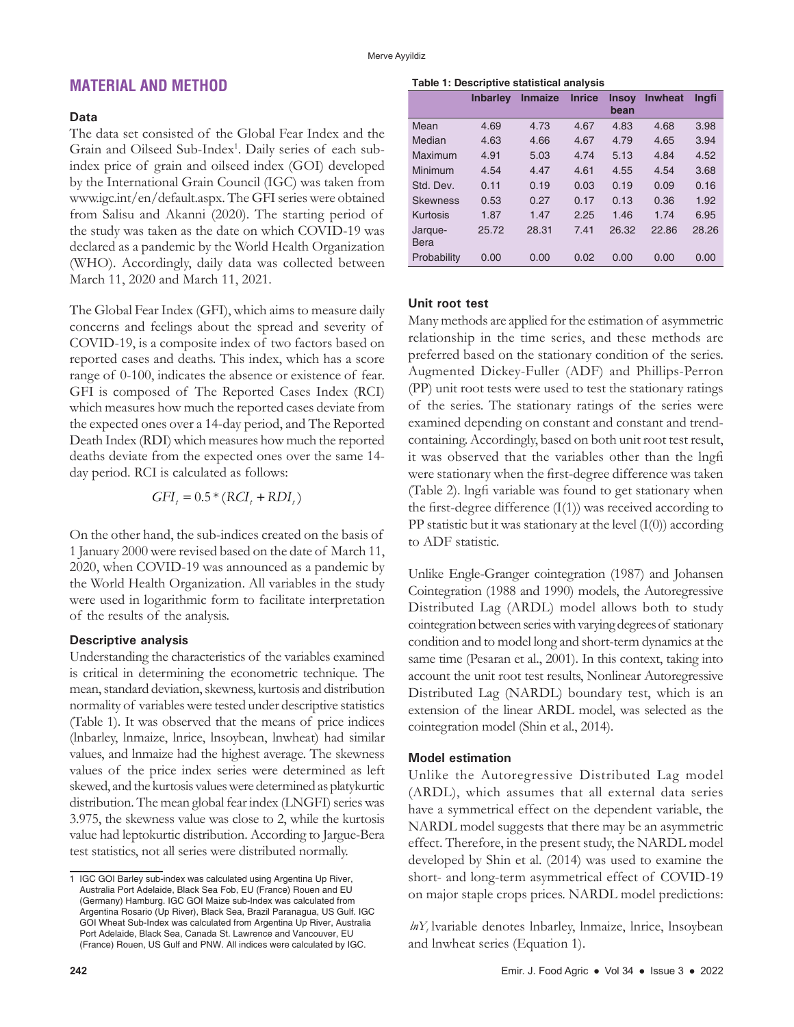# **MATERIAL AND METHOD**

### **Data**

The data set consisted of the Global Fear Index and the Grain and Oilseed Sub-Index<sup>1</sup>. Daily series of each subindex price of grain and oilseed index (GOI) developed by the International Grain Council (IGC) was taken from www.igc.int/en/default.aspx. The GFI series were obtained from Salisu and Akanni (2020). The starting period of the study was taken as the date on which COVID-19 was declared as a pandemic by the World Health Organization (WHO). Accordingly, daily data was collected between March 11, 2020 and March 11, 2021.

The Global Fear Index (GFI), which aims to measure daily concerns and feelings about the spread and severity of COVID-19, is a composite index of two factors based on reported cases and deaths. This index, which has a score range of 0-100, indicates the absence or existence of fear. GFI is composed of The Reported Cases Index (RCI) which measures how much the reported cases deviate from the expected ones over a 14-day period, and The Reported Death Index (RDI) which measures how much the reported deaths deviate from the expected ones over the same 14 day period. RCI is calculated as follows:

$$
GFI_t = 0.5 * (RCI_t + RDI_t)
$$

On the other hand, the sub-indices created on the basis of 1 January 2000 were revised based on the date of March 11, 2020, when COVID-19 was announced as a pandemic by the World Health Organization. All variables in the study were used in logarithmic form to facilitate interpretation of the results of the analysis.

### **Descriptive analysis**

Understanding the characteristics of the variables examined is critical in determining the econometric technique. The mean, standard deviation, skewness, kurtosis and distribution normality of variables were tested under descriptive statistics (Table 1). It was observed that the means of price indices (lnbarley, lnmaize, lnrice, lnsoybean, lnwheat) had similar values, and lnmaize had the highest average. The skewness values of the price index series were determined as left skewed, and the kurtosis values were determined as platykurtic distribution. The mean global fear index (LNGFI) series was 3.975, the skewness value was close to 2, while the kurtosis value had leptokurtic distribution. According to Jargue-Bera test statistics, not all series were distributed normally.

### **Table 1: Descriptive statistical analysis**

|                 | <b>Inbarley</b> | <b>Inmaize</b> | <b>Inrice</b> | <b>Insoy</b><br>bean | <b>Inwheat</b> | Ingfi |
|-----------------|-----------------|----------------|---------------|----------------------|----------------|-------|
| Mean            | 4.69            | 4.73           | 4.67          | 4.83                 | 4.68           | 3.98  |
| Median          | 4.63            | 4.66           | 4.67          | 4.79                 | 4.65           | 3.94  |
| Maximum         | 4.91            | 5.03           | 4.74          | 5.13                 | 4.84           | 4.52  |
| Minimum         | 4.54            | 4.47           | 4.61          | 4.55                 | 4.54           | 3.68  |
| Std. Dev.       | 0.11            | 0.19           | 0.03          | 0.19                 | 0.09           | 0.16  |
| <b>Skewness</b> | 0.53            | 0.27           | 0.17          | 0.13                 | 0.36           | 1.92  |
| Kurtosis        | 1.87            | 1.47           | 2.25          | 1.46                 | 1.74           | 6.95  |
| Jarque-         | 25.72           | 28.31          | 7.41          | 26.32                | 22.86          | 28.26 |
| Bera            |                 |                |               |                      |                |       |
| Probability     | 0.00            | 0.00           | 0.02          | 0.00                 | 0.00           | 0.00  |

### **Unit root test**

Many methods are applied for the estimation of asymmetric relationship in the time series, and these methods are preferred based on the stationary condition of the series. Augmented Dickey-Fuller (ADF) and Phillips-Perron (PP) unit root tests were used to test the stationary ratings of the series. The stationary ratings of the series were examined depending on constant and constant and trendcontaining. Accordingly, based on both unit root test result, it was observed that the variables other than the lngfi were stationary when the first-degree difference was taken (Table 2). lngfi variable was found to get stationary when the first-degree difference (I(1)) was received according to PP statistic but it was stationary at the level  $(I(0))$  according to ADF statistic.

Unlike Engle-Granger cointegration (1987) and Johansen Cointegration (1988 and 1990) models, the Autoregressive Distributed Lag (ARDL) model allows both to study cointegration between series with varying degrees of stationary condition and to model long and short-term dynamics at the same time (Pesaran et al., 2001). In this context, taking into account the unit root test results, Nonlinear Autoregressive Distributed Lag (NARDL) boundary test, which is an extension of the linear ARDL model, was selected as the cointegration model (Shin et al., 2014).

### **Model estimation**

Unlike the Autoregressive Distributed Lag model (ARDL), which assumes that all external data series have a symmetrical effect on the dependent variable, the NARDL model suggests that there may be an asymmetric effect. Therefore, in the present study, the NARDL model developed by Shin et al. (2014) was used to examine the short- and long-term asymmetrical effect of COVID-19 on major staple crops prices. NARDL model predictions:

*hY*, lvariable denotes lnbarley, lnmaize, lnrice, lnsoybean and lnwheat series (Equation 1).

<sup>1</sup> IGC GOI Barley sub-index was calculated using Argentina Up River, Australia Port Adelaide, Black Sea Fob, EU (France) Rouen and EU (Germany) Hamburg. IGC GOI Maize sub-Index was calculated from Argentina Rosario (Up River), Black Sea, Brazil Paranagua, US Gulf. IGC GOI Wheat Sub-Index was calculated from Argentina Up River, Australia Port Adelaide, Black Sea, Canada St. Lawrence and Vancouver, EU (France) Rouen, US Gulf and PNW. All indices were calculated by IGC.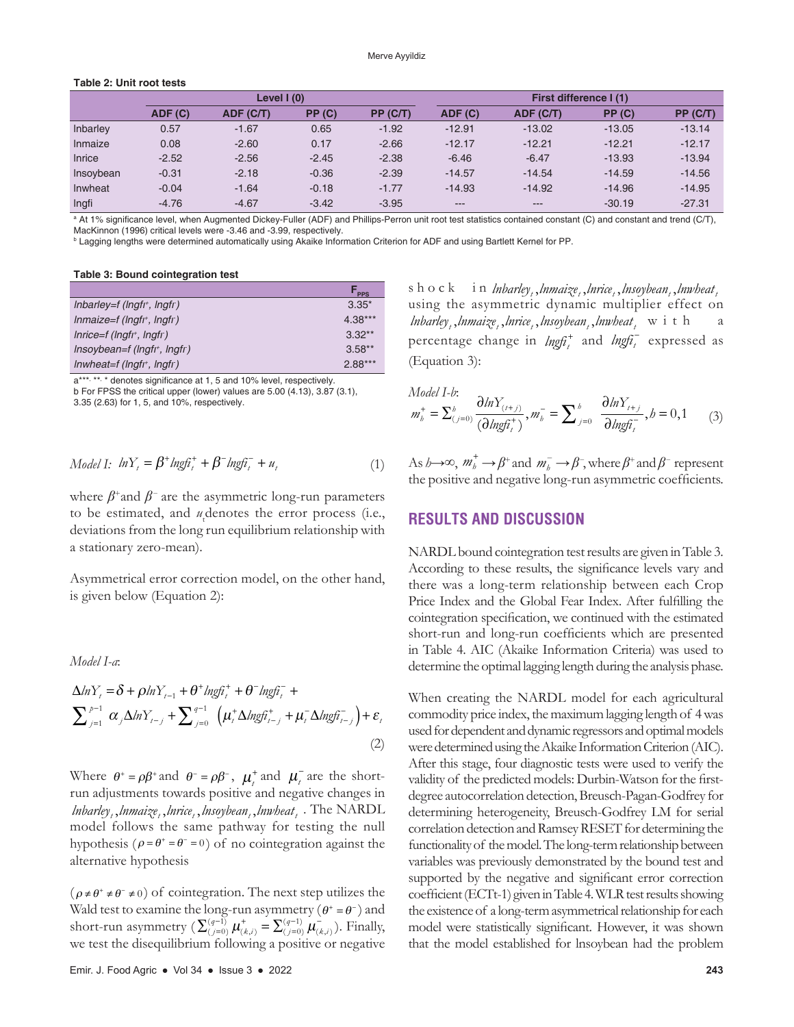### **Table 2: Unit root tests**

|           | Level $(0)$ |           |         | <b>First difference I(1)</b> |          |           |          |          |
|-----------|-------------|-----------|---------|------------------------------|----------|-----------|----------|----------|
|           | ADF(C)      | ADF (C/T) | PP(C)   | PP (C/T)                     | ADF(C)   | ADF (C/T) | PP(C)    | PP(C/T)  |
| Inbarley  | 0.57        | $-1.67$   | 0.65    | $-1.92$                      | $-12.91$ | $-13.02$  | $-13.05$ | $-13.14$ |
| Inmaize   | 0.08        | $-2.60$   | 0.17    | $-2.66$                      | $-12.17$ | $-12.21$  | $-12.21$ | $-12.17$ |
| Inrice    | $-2.52$     | $-2.56$   | $-2.45$ | $-2.38$                      | $-6.46$  | $-6.47$   | $-13.93$ | $-13.94$ |
| Insoybean | $-0.31$     | $-2.18$   | $-0.36$ | $-2.39$                      | $-14.57$ | $-14.54$  | $-14.59$ | $-14.56$ |
| Inwheat   | $-0.04$     | $-1.64$   | $-0.18$ | $-1.77$                      | $-14.93$ | $-14.92$  | $-14.96$ | $-14.95$ |
| Ingfi     | $-4.76$     | $-4.67$   | $-3.42$ | $-3.95$                      | $---$    | $---$     | $-30.19$ | $-27.31$ |

a At 1% significance level, when Augmented Dickey‑Fuller (ADF) and Phillips‑Perron unit root test statistics contained constant (C) and constant and trend (C/T), MacKinnon (1996) critical levels were -3.46 and -3.99, respectively.

b Lagging lengths were determined automatically using Akaike Information Criterion for ADF and using Bartlett Kernel for PP.

**Table 3: Bound cointegration test**

|                               | <b>PPS</b> |
|-------------------------------|------------|
| Inbarley=f ( $Ingfr$ , Ingfr) | $3.35*$    |
| $Inmaize=f (Ingfr, Ingfr)$    | $4.38***$  |
| $Inrice=f (Ingfr, Ingfr)$     | $3.32**$   |
| $Insoybean=f (Ingfr, Ingf)$   | $3.58**$   |
| $Inwheat=f (Ingfr, Ingfr)$    | $2.88***$  |

a\*\*\*, \*\*, \* denotes significance at 1, 5 and 10% level, respectively. b For FPSS the critical upper (lower) values are 5.00 (4.13), 3.87 (3.1),

3.35 (2.63) for 1, 5, and 10%, respectively.

$$
Model\ I: \ \ lnY_t = \beta^+ \ln \text{gft}_t^+ + \beta^- \ln \text{gft}_t^- + u_t \tag{1}
$$

where  $\beta^+$ and  $\beta^-$  are the asymmetric long-run parameters to be estimated, and  $u_t$  denotes the error process (i.e., deviations from the long run equilibrium relationship with a stationary zero-mean).

Asymmetrical error correction model, on the other hand, is given below (Equation 2):

*Model I-a*:

$$
\Delta ln Y_t = \delta + \rho ln Y_{t-1} + \theta^+ lngh_t^+ + \theta^- lngh_t^- +
$$
  

$$
\sum_{j=1}^{p-1} \alpha_j \Delta ln Y_{t-j} + \sum_{j=0}^{q-1} \left( \mu_t^+ \Delta lngh_{t-j}^+ + \mu_t^- \Delta lngh_{t-j}^- \right) + \varepsilon_t
$$
  
(2)

Where  $\theta^+ = \rho \beta^+$  and  $\theta^- = \rho \beta^-$ ,  $\mu_i^+$  and  $\mu_i^-$  are the shortrun adjustments towards positive and negative changes in *lnbarley, , lnmaize, , lnrice, , lnsoybean, , lnwheat* . The NARDL model follows the same pathway for testing the null hypothesis ( $\rho = \theta^+ = \theta^- = 0$ ) of no cointegration against the alternative hypothesis

 $(\rho \neq \theta^+ \neq \theta^- \neq 0)$  of cointegration. The next step utilizes the Wald test to examine the long-run asymmetry ( $\theta^+ = \theta^-$ ) and short-run asymmetry  $(\sum_{(j=0)}^{(q-1)} \mu_{(k,i)}^+ = \sum_{(j=0)}^{(q-1)} \mu_{(k,i)}^-$ ). Finally, we test the disequilibrium following a positive or negative shock in *lnbarley, Jnmaize*, lnrice, lnsoybean, lnwheat, using the asymmetric dynamic multiplier effect on *lnbarley*, *lnmaize*, *lnrice*, *lnsoybean*, *lnwheat*, with percentage change in  $\ln \frac{f}{f}$  and  $\ln \frac{f}{f}$  expressed as (Equation 3):

Model I-b:  
\n
$$
m_b^+ = \sum_{(j=0)}^b \frac{\partial \ln Y_{(i+j)}}{(\partial \ln g \hat{h}_i^+)} , m_b^- = \sum_{j=0}^b \frac{\partial \ln Y_{i+j}}{\partial \ln g \hat{h}_i^-} , b = 0, 1
$$
 (3)

As *h*→∞,  $m_b^+$  →  $\beta^+$  and  $m_b^-$  →  $\beta^-$ , where  $\beta^+$  and  $\beta^-$  represent the positive and negative long-run asymmetric coefficients.

# **RESULTS AND DISCUSSION**

NARDL bound cointegration test results are given in Table 3. According to these results, the significance levels vary and there was a long-term relationship between each Crop Price Index and the Global Fear Index. After fulfilling the cointegration specification, we continued with the estimated short-run and long-run coefficients which are presented in Table 4. AIC (Akaike Information Criteria) was used to determine the optimal lagging length during the analysis phase.

When creating the NARDL model for each agricultural commodity price index, the maximum lagging length of 4 was used for dependent and dynamic regressors and optimal models were determined using the Akaike Information Criterion (AIC). After this stage, four diagnostic tests were used to verify the validity of the predicted models: Durbin-Watson for the firstdegree autocorrelation detection, Breusch-Pagan-Godfrey for determining heterogeneity, Breusch-Godfrey LM for serial correlation detection and Ramsey RESET for determining the functionality of the model. The long-term relationship between variables was previously demonstrated by the bound test and supported by the negative and significant error correction coefficient (ECTt-1) given in Table 4. WLR test results showing the existence of a long-term asymmetrical relationship for each model were statistically significant. However, it was shown that the model established for lnsoybean had the problem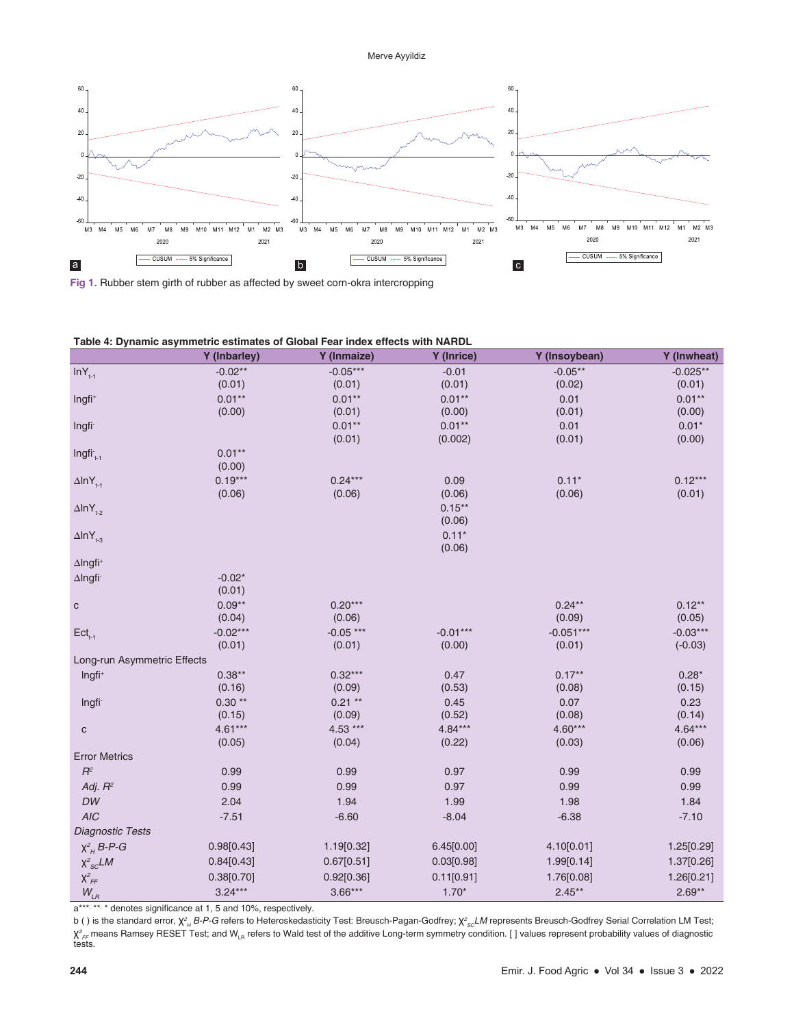### Merve Ayyildiz



**Fig 1.** Rubber stem girth of rubber as affected by sweet corn-okra intercropping

|                             | Y (Inbarley) | Y (Inmaize) | Y (Inrice) | Y (Insoybean) | Y (Inwheat) |
|-----------------------------|--------------|-------------|------------|---------------|-------------|
| $lnY_{t-1}$                 | $-0.02**$    | $-0.05***$  | $-0.01$    | $-0.05**$     | $-0.025**$  |
|                             | (0.01)       | (0.01)      | (0.01)     | (0.02)        | (0.01)      |
| Ingfi <sup>+</sup>          | $0.01**$     | $0.01**$    | $0.01**$   | 0.01          | $0.01**$    |
|                             | (0.00)       | (0.01)      | (0.00)     | (0.01)        | (0.00)      |
| Ingfi <sup>-</sup>          |              | $0.01**$    | $0.01**$   | 0.01          | $0.01*$     |
|                             |              | (0.01)      | (0.002)    | (0.01)        | (0.00)      |
| $Ingfi_{t-1}$               | $0.01**$     |             |            |               |             |
|                             | (0.00)       |             |            |               |             |
| $\Delta$ InY <sub>t-1</sub> | $0.19***$    | $0.24***$   | 0.09       | $0.11*$       | $0.12***$   |
|                             | (0.06)       | (0.06)      | (0.06)     | (0.06)        | (0.01)      |
| $\Delta$ InY <sub>t-2</sub> |              |             | $0.15***$  |               |             |
|                             |              |             | (0.06)     |               |             |
| $\Delta$ InY <sub>t-3</sub> |              |             | $0.11*$    |               |             |
|                             |              |             | (0.06)     |               |             |
| $\Delta$ Ingfi <sup>+</sup> |              |             |            |               |             |
| $\Delta$ Ingfi              | $-0.02*$     |             |            |               |             |
|                             | (0.01)       |             |            |               |             |
| ${\bf C}$                   | $0.09**$     | $0.20***$   |            | $0.24***$     | $0.12**$    |
|                             | (0.04)       | (0.06)      |            | (0.09)        | (0.05)      |
| $\mathsf{Ect}_{_{t-1}}$     | $-0.02***$   | $-0.05***$  | $-0.01***$ | $-0.051***$   | $-0.03***$  |
|                             | (0.01)       | (0.01)      | (0.00)     | (0.01)        | $(-0.03)$   |
| Long-run Asymmetric Effects |              |             |            |               |             |
| Ingfi <sup>+</sup>          | $0.38**$     | $0.32***$   | 0.47       | $0.17**$      | $0.28*$     |
|                             | (0.16)       | (0.09)      | (0.53)     | (0.08)        | (0.15)      |
| Ingfi-                      | $0.30**$     | $0.21**$    | 0.45       | 0.07          | 0.23        |
|                             | (0.15)       | (0.09)      | (0.52)     | (0.08)        | (0.14)      |
| $\mathsf C$                 | $4.61***$    | 4.53 ***    | $4.84***$  | $4.60***$     | $4.64***$   |
|                             | (0.05)       | (0.04)      | (0.22)     | (0.03)        | (0.06)      |
| <b>Error Metrics</b>        |              |             |            |               |             |
| $R^2$                       | 0.99         | 0.99        | 0.97       | 0.99          | 0.99        |
| Adj. $R^2$                  | 0.99         | 0.99        | 0.97       | 0.99          | 0.99        |
| DW                          | 2.04         | 1.94        | 1.99       | 1.98          | 1.84        |
| <b>AIC</b>                  | $-7.51$      | $-6.60$     | $-8.04$    | $-6.38$       | $-7.10$     |
| Diagnostic Tests            |              |             |            |               |             |
| $X^2_H$ B-P-G               | 0.98[0.43]   | 1.19[0.32]  | 6.45[0.00] | 4.10[0.01]    | 1.25[0.29]  |
|                             | 0.84[0.43]   | 0.67[0.51]  | 0.03[0.98] | 1.99[0.14]    | 1.37[0.26]  |
| $X^2_{SC}LM$                |              |             |            |               |             |
| $\chi^2_{\it FF}$           | 0.38[0.70]   | 0.92[0.36]  | 0.11[0.91] | 1.76[0.08]    | 1.26[0.21]  |
| $W_{\scriptscriptstyle LR}$ | $3.24***$    | $3.66***$   | $1.70*$    | $2.45**$      | $2.69**$    |

a\*\*\*, \*\*, \* denotes significance at 1, 5 and 10%, respectively.

b () is the standard error,  $\chi^2_{\mu}$  B-P-G refers to Heteroskedasticity Test: Breusch-Pagan-Godfrey;  $\chi^2_{sc}$ LM represents Breusch-Godfrey Serial Correlation LM Test; *H B‑P‑G* refers to Heteroskedasticity Test: Breusch‑Pagan‑Godfrey; χ*<sup>2</sup> SCLM* represents Breusch‑Godfrey Serial Correlation LM Test; χ<sup>2</sup><sub>FF</sub> means Ramsey RESET Test; and W<sub>LR</sub> refers to Wald test of the additive Long-term symmetry condition. [ ] values represent probability values of diagnostic<br>tests.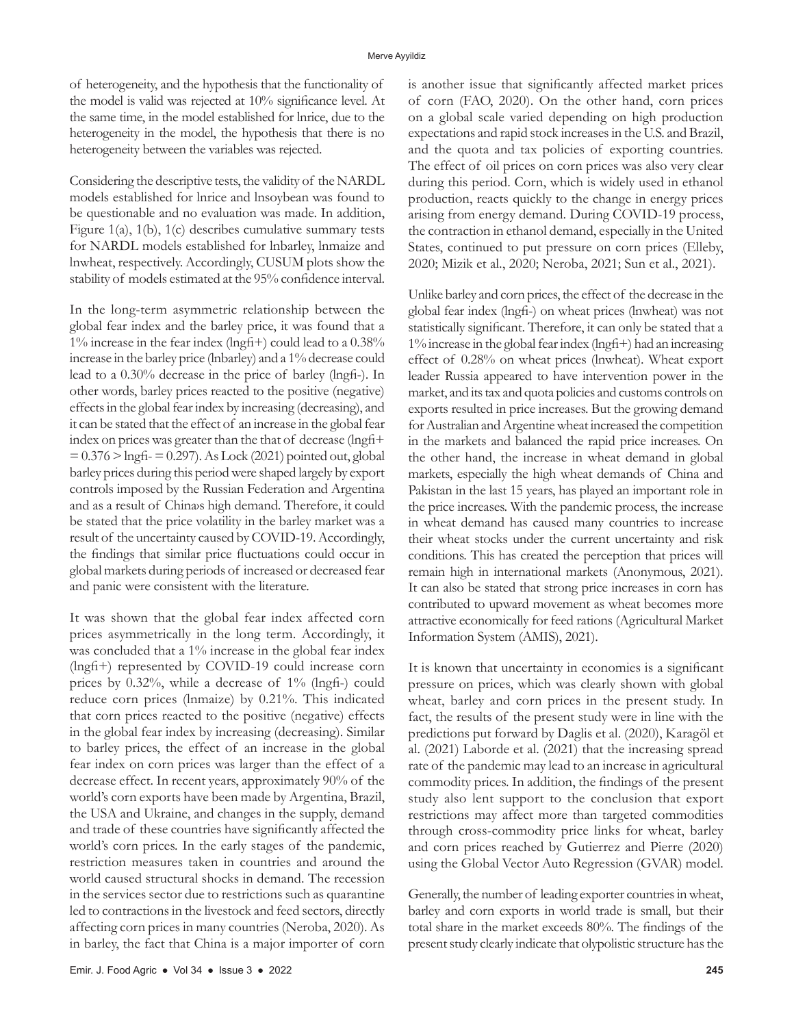of heterogeneity, and the hypothesis that the functionality of the model is valid was rejected at 10% significance level. At the same time, in the model established for lnrice, due to the heterogeneity in the model, the hypothesis that there is no heterogeneity between the variables was rejected.

Considering the descriptive tests, the validity of the NARDL models established for lnrice and lnsoybean was found to be questionable and no evaluation was made. In addition, Figure 1(a), 1(b), 1(c) describes cumulative summary tests for NARDL models established for lnbarley, lnmaize and lnwheat, respectively. Accordingly, CUSUM plots show the stability of models estimated at the 95% confidence interval.

In the long-term asymmetric relationship between the global fear index and the barley price, it was found that a 1% increase in the fear index (lngfi+) could lead to a 0.38% increase in the barley price (lnbarley) and a 1% decrease could lead to a 0.30% decrease in the price of barley (lngfi-). In other words, barley prices reacted to the positive (negative) effects in the global fear index by increasing (decreasing), and it can be stated that the effect of an increase in the global fear index on prices was greater than the that of decrease (lngfi+  $= 0.376$  > lngfi- $= 0.297$ ). As Lock (2021) pointed out, global barley prices during this period were shaped largely by export controls imposed by the Russian Federation and Argentina and as a result of Chinays high demand. Therefore, it could be stated that the price volatility in the barley market was a result of the uncertainty caused by COVID-19. Accordingly, the findings that similar price fluctuations could occur in global markets during periods of increased or decreased fear and panic were consistent with the literature.

It was shown that the global fear index affected corn prices asymmetrically in the long term. Accordingly, it was concluded that a 1% increase in the global fear index (lngfi+) represented by COVID-19 could increase corn prices by 0.32%, while a decrease of 1% (lngfi-) could reduce corn prices (lnmaize) by 0.21%. This indicated that corn prices reacted to the positive (negative) effects in the global fear index by increasing (decreasing). Similar to barley prices, the effect of an increase in the global fear index on corn prices was larger than the effect of a decrease effect. In recent years, approximately 90% of the world's corn exports have been made by Argentina, Brazil, the USA and Ukraine, and changes in the supply, demand and trade of these countries have significantly affected the world's corn prices. In the early stages of the pandemic, restriction measures taken in countries and around the world caused structural shocks in demand. The recession in the services sector due to restrictions such as quarantine led to contractions in the livestock and feed sectors, directly affecting corn prices in many countries (Neroba, 2020). As in barley, the fact that China is a major importer of corn

is another issue that significantly affected market prices of corn (FAO, 2020). On the other hand, corn prices on a global scale varied depending on high production expectations and rapid stock increases in the U.S. and Brazil, and the quota and tax policies of exporting countries. The effect of oil prices on corn prices was also very clear during this period. Corn, which is widely used in ethanol production, reacts quickly to the change in energy prices arising from energy demand. During COVID-19 process, the contraction in ethanol demand, especially in the United States, continued to put pressure on corn prices (Elleby, 2020; Mizik et al., 2020; Neroba, 2021; Sun et al., 2021).

Unlike barley and corn prices, the effect of the decrease in the global fear index (lngfi-) on wheat prices (lnwheat) was not statistically significant. Therefore, it can only be stated that a 1% increase in the global fear index (lngfi+) had an increasing effect of 0.28% on wheat prices (lnwheat). Wheat export leader Russia appeared to have intervention power in the market, and its tax and quota policies and customs controls on exports resulted in price increases. But the growing demand for Australian and Argentine wheat increased the competition in the markets and balanced the rapid price increases. On the other hand, the increase in wheat demand in global markets, especially the high wheat demands of China and Pakistan in the last 15 years, has played an important role in the price increases. With the pandemic process, the increase in wheat demand has caused many countries to increase their wheat stocks under the current uncertainty and risk conditions. This has created the perception that prices will remain high in international markets (Anonymous, 2021). It can also be stated that strong price increases in corn has contributed to upward movement as wheat becomes more attractive economically for feed rations (Agricultural Market Information System (AMIS), 2021).

It is known that uncertainty in economies is a significant pressure on prices, which was clearly shown with global wheat, barley and corn prices in the present study. In fact, the results of the present study were in line with the predictions put forward by Daglis et al. (2020), Karagöl et al. (2021) Laborde et al. (2021) that the increasing spread rate of the pandemic may lead to an increase in agricultural commodity prices. In addition, the findings of the present study also lent support to the conclusion that export restrictions may affect more than targeted commodities through cross-commodity price links for wheat, barley and corn prices reached by Gutierrez and Pierre (2020) using the Global Vector Auto Regression (GVAR) model.

Generally, the number of leading exporter countries in wheat, barley and corn exports in world trade is small, but their total share in the market exceeds 80%. The findings of the present study clearly indicate that olypolistic structure has the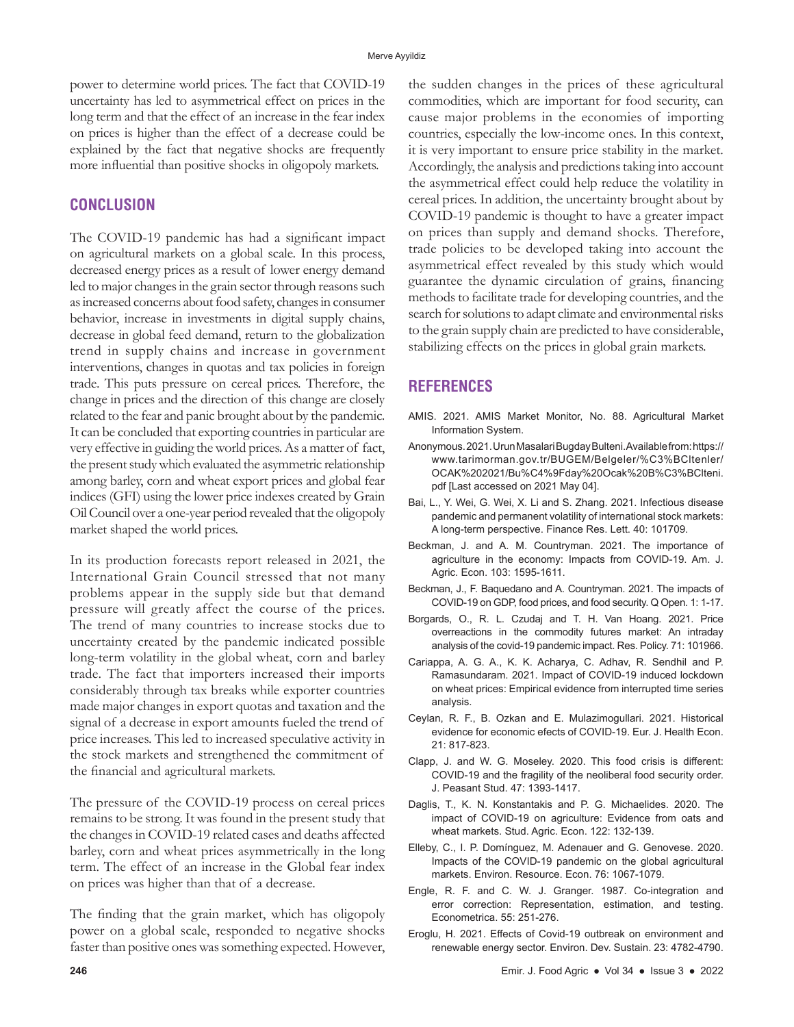power to determine world prices. The fact that COVID-19 uncertainty has led to asymmetrical effect on prices in the long term and that the effect of an increase in the fear index on prices is higher than the effect of a decrease could be explained by the fact that negative shocks are frequently more influential than positive shocks in oligopoly markets.

# **CONCLUSION**

The COVID-19 pandemic has had a significant impact on agricultural markets on a global scale. In this process, decreased energy prices as a result of lower energy demand led to major changes in the grain sector through reasons such as increased concerns about food safety, changes in consumer behavior, increase in investments in digital supply chains, decrease in global feed demand, return to the globalization trend in supply chains and increase in government interventions, changes in quotas and tax policies in foreign trade. This puts pressure on cereal prices. Therefore, the change in prices and the direction of this change are closely related to the fear and panic brought about by the pandemic. It can be concluded that exporting countries in particular are very effective in guiding the world prices. As a matter of fact, the present study which evaluated the asymmetric relationship among barley, corn and wheat export prices and global fear indices (GFI) using the lower price indexes created by Grain Oil Council over a one-year period revealed that the oligopoly market shaped the world prices.

In its production forecasts report released in 2021, the International Grain Council stressed that not many problems appear in the supply side but that demand pressure will greatly affect the course of the prices. The trend of many countries to increase stocks due to uncertainty created by the pandemic indicated possible long-term volatility in the global wheat, corn and barley trade. The fact that importers increased their imports considerably through tax breaks while exporter countries made major changes in export quotas and taxation and the signal of a decrease in export amounts fueled the trend of price increases. This led to increased speculative activity in the stock markets and strengthened the commitment of the financial and agricultural markets.

The pressure of the COVID-19 process on cereal prices remains to be strong. It was found in the present study that the changes in COVID-19 related cases and deaths affected barley, corn and wheat prices asymmetrically in the long term. The effect of an increase in the Global fear index on prices was higher than that of a decrease.

The finding that the grain market, which has oligopoly power on a global scale, responded to negative shocks faster than positive ones was something expected. However, the sudden changes in the prices of these agricultural commodities, which are important for food security, can cause major problems in the economies of importing countries, especially the low-income ones. In this context, it is very important to ensure price stability in the market. Accordingly, the analysis and predictions taking into account the asymmetrical effect could help reduce the volatility in cereal prices. In addition, the uncertainty brought about by COVID-19 pandemic is thought to have a greater impact on prices than supply and demand shocks. Therefore, trade policies to be developed taking into account the asymmetrical effect revealed by this study which would guarantee the dynamic circulation of grains, financing methods to facilitate trade for developing countries, and the search for solutions to adapt climate and environmental risks to the grain supply chain are predicted to have considerable, stabilizing effects on the prices in global grain markets.

# **REFERENCES**

- AMIS. 2021. AMIS Market Monitor, No. 88. Agricultural Market Information System.
- Anonymous. 2021. Urun Masalari Bugday Bulteni. Available from: https:// www.tarimorman.gov.tr/BUGEM/Belgeler/%C3%BCltenler/ OCAK%202021/Bu%C4%9Fday%20Ocak%20B%C3%BClteni. pdf [Last accessed on 2021 May 04].
- Bai, L., Y. Wei, G. Wei, X. Li and S. Zhang. 2021. Infectious disease pandemic and permanent volatility of international stock markets: A long-term perspective. Finance Res. Lett. 40: 101709.
- Beckman, J. and A. M. Countryman. 2021. The importance of agriculture in the economy: Impacts from COVID-19. Am. J. Agric. Econ. 103: 1595-1611.
- Beckman, J., F. Baquedano and A. Countryman. 2021. The impacts of COVID-19 on GDP, food prices, and food security. Q Open. 1: 1-17.
- Borgards, O., R. L. Czudaj and T. H. Van Hoang. 2021. Price overreactions in the commodity futures market: An intraday analysis of the covid-19 pandemic impact. Res. Policy. 71: 101966.
- Cariappa, A. G. A., K. K. Acharya, C. Adhav, R. Sendhil and P. Ramasundaram. 2021. Impact of COVID-19 induced lockdown on wheat prices: Empirical evidence from interrupted time series analysis.
- Ceylan, R. F., B. Ozkan and E. Mulazimogullari. 2021. Historical evidence for economic efects of COVID-19. Eur. J. Health Econ. 21: 817-823.
- Clapp, J. and W. G. Moseley. 2020. This food crisis is different: COVID-19 and the fragility of the neoliberal food security order. J. Peasant Stud. 47: 1393-1417.
- Daglis, T., K. N. Konstantakis and P. G. Michaelides. 2020. The impact of COVID-19 on agriculture: Evidence from oats and wheat markets. Stud. Agric. Econ. 122: 132-139.
- Elleby, C., I. P. Domínguez, M. Adenauer and G. Genovese. 2020. Impacts of the COVID-19 pandemic on the global agricultural markets. Environ. Resource. Econ. 76: 1067-1079.
- Engle, R. F. and C. W. J. Granger. 1987. Co-integration and error correction: Representation, estimation, and testing. Econometrica. 55: 251-276.
- Eroglu, H. 2021. Effects of Covid-19 outbreak on environment and renewable energy sector. Environ. Dev. Sustain. 23: 4782-4790.